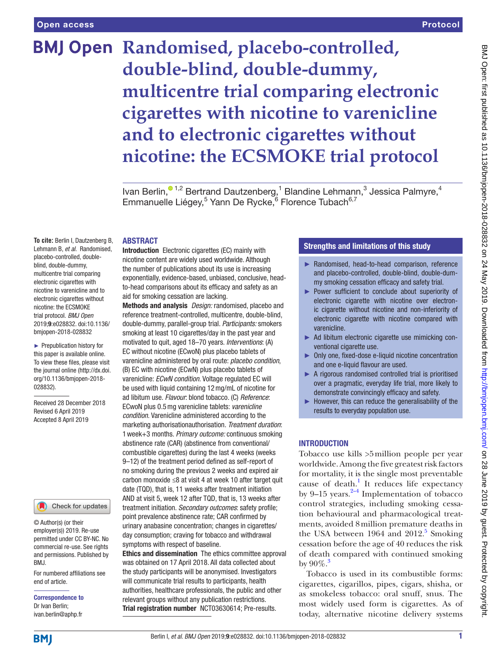# **BMJ Open Randomised, placebo-controlled, double-blind, double-dummy, multicentre trial comparing electronic cigarettes with nicotine to varenicline and to electronic cigarettes without nicotine: the ECSMOKE trial protocol**

Ivan Berlin,<sup>01,2</sup> Bertrand Dautzenberg,<sup>1</sup> Blandine Lehmann,<sup>3</sup> Jessica Palmyre,<sup>4</sup> Emmanuelle Liégey,<sup>5</sup> Yann De Rycke,<sup>6</sup> Florence Tubach<sup>6,7</sup>

### **ABSTRACT**

**To cite:** Berlin I, Dautzenberg B, Lehmann B, *et al*. Randomised, placebo-controlled, doubleblind, double-dummy, multicentre trial comparing electronic cigarettes with nicotine to varenicline and to electronic cigarettes without nicotine: the ECSMOKE trial protocol. *BMJ Open* 2019;9:e028832. doi:10.1136/ bmjopen-2018-028832

► Prepublication history for this paper is available online. To view these files, please visit the journal online [\(http://dx.doi.](http://dx.doi.org/10.1136/bmjopen-2018-028832) [org/10.1136/bmjopen-2018-](http://dx.doi.org/10.1136/bmjopen-2018-028832) [028832\)](http://dx.doi.org/10.1136/bmjopen-2018-028832).

Received 28 December 2018 Revised 6 April 2019 Accepted 8 April 2019

### Check for updates

© Author(s) (or their employer(s)) 2019. Re-use permitted under CC BY-NC. No commercial re-use. See rights and permissions. Published by BMJ.

For numbered affiliations see end of article.

Correspondence to Dr Ivan Berlin; ivan.berlin@aphp.fr

Introduction Electronic cigarettes (EC) mainly with nicotine content are widely used worldwide. Although the number of publications about its use is increasing exponentially, evidence-based, unbiased, conclusive, headto-head comparisons about its efficacy and safety as an aid for smoking cessation are lacking.

Methods and analysis *Design:* randomised, placebo and reference treatment-controlled, multicentre, double-blind, double-dummy, parallel-group trial. *Participants:* smokers smoking at least 10 cigarettes/day in the past year and motivated to quit, aged 18–70 years. *Interventions*: (A) EC without nicotine (ECwoN) plus placebo tablets of varenicline administered by oral route: *placebo condition*, (B) EC with nicotine (ECwN) plus placebo tablets of varenicline: *ECwN condition.* Voltage regulated EC will be used with liquid containing 12mg/mL of nicotine for ad libitum use. *Flavour*: blond tobacco. (C) *Reference*: ECwoN plus 0.5mg varenicline tablets: *varenicline condition.* Varenicline administered according to the marketing authorisationauthorisation. *Treatment duration*: 1week+3 months. *Primary outcome:* continuous smoking abstinence rate (CAR) (abstinence from conventional/ combustible cigarettes) during the last 4 weeks (weeks 9–12) of the treatment period defined as self-report of no smoking during the previous 2 weeks and expired air carbon monoxide ≤8 at visit 4 at week 10 after target quit date (TQD), that is, 11 weeks after treatment initiation AND at visit 5, week 12 after TQD, that is, 13 weeks after treatment initiation. *Secondary outcomes*: safety profile; point prevalence abstinence rate; CAR confirmed by urinary anabasine concentration; changes in cigarettes/ day consumption; craving for tobacco and withdrawal symptoms with respect of baseline.

Ethics and dissemination The ethics committee approval was obtained on 17 April 2018. All data collected about the study participants will be anonymised. Investigators will communicate trial results to participants, health authorities, healthcare professionals, the public and other relevant groups without any publication restrictions. Trial registration number <NCT03630614>; Pre-results.

### Strengths and limitations of this study

- ► Randomised, head-to-head comparison, reference and placebo-controlled, double-blind, double-dummy smoking cessation efficacy and safety trial.
- ► Power sufficient to conclude about superiority of electronic cigarette with nicotine over electronic cigarette without nicotine and non-inferiority of electronic cigarette with nicotine compared with varenicline.
- ► Ad libitum electronic cigarette use mimicking conventional cigarette use.
- ► Only one, fixed-dose e-liquid nicotine concentration and one e-liquid flavour are used.
- ► A rigorous randomised controlled trial is prioritised over a pragmatic, everyday life trial, more likely to demonstrate convincingly efficacy and safety.
- $\blacktriangleright$  However, this can reduce the generalisability of the results to everyday population use.

### **INTRODUCTION**

Tobacco use kills >5million people per year worldwide. Among the five greatest risk factors for mortality, it is the single most preventable cause of death.<sup>1</sup> It reduces life expectancy by 9–15 years. $2-4$  Implementation of tobacco control strategies, including smoking cessation behavioural and pharmacological treatments, avoided 8million premature deaths in the USA between  $1964$  and  $2012<sup>5</sup>$  $2012<sup>5</sup>$  $2012<sup>5</sup>$  Smoking cessation before the age of 40 reduces the risk of death compared with continued smoking by  $90\%$ .

Tobacco is used in its combustible forms: cigarettes, cigarillos, pipes, cigars, shisha, or as smokeless tobacco: oral snuff, snus. The most widely used form is cigarettes. As of today, alternative nicotine delivery systems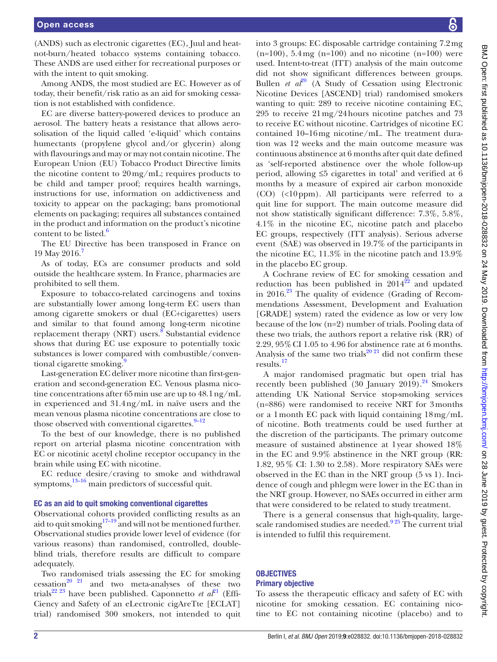(ANDS) such as electronic cigarettes (EC), Juul and heatnot-burn/heated tobacco systems containing tobacco. These ANDS are used either for recreational purposes or with the intent to quit smoking.

Among ANDS, the most studied are EC. However as of today, their benefit/risk ratio as an aid for smoking cessation is not established with confidence.

EC are diverse battery-powered devices to produce an aerosol. The battery heats a resistance that allows aerosolisation of the liquid called 'e-liquid' which contains humectants (propylene glycol and/or glycerin) along with flavourings and may or may not contain nicotine. The European Union (EU) Tobacco Product Directive limits the nicotine content to 20mg/mL; requires products to be child and tamper proof; requires health warnings, instructions for use, information on addictiveness and toxicity to appear on the packaging; bans promotional elements on packaging; requires all substances contained in the product and information on the product's nicotine content to be listed. $6$ 

The EU Directive has been transposed in France on 19 May 2016.

As of today, ECs are consumer products and sold outside the healthcare system. In France, pharmacies are prohibited to sell them.

Exposure to tobacco-related carcinogens and toxins are substantially lower among long-term EC users than among cigarette smokers or dual (EC+cigarettes) users and similar to that found among long-term nicotine replacement therapy (NRT) users.<sup>8</sup> Substantial evidence shows that during EC use exposure to potentially toxic substances is lower compared with combustible/conventional cigarette smoking.<sup>9</sup>

Last-generation EC deliver more nicotine than first-generation and second-generation EC. Venous plasma nicotine concentrations after 65min use are up to 48.1ng/mL in experienced and 31.4ng/mL in naïve users and the mean venous plasma nicotine concentrations are close to those observed with conventional cigarettes. $9-12$ 

To the best of our knowledge, there is no published report on arterial plasma nicotine concentration with EC or nicotinic acetyl choline receptor occupancy in the brain while using EC with nicotine.

EC reduce desire/craving to smoke and withdrawal symptoms, $13-16$  main predictors of successful quit.

### EC as an aid to quit smoking conventional cigarettes

Observational cohorts provided conflicting results as an aid to quit smoking<sup>17–19</sup> and will not be mentioned further. Observational studies provide lower level of evidence (for various reasons) than randomised, controlled, doubleblind trials, therefore results are difficult to compare adequately.

Two randomised trials assessing the EC for smoking cessation<sup>[20 21](#page-11-4)</sup> and two meta-analyses of these two trials<sup>[22 23](#page-11-5)</sup> have been published. Caponnetto *et al*<sup>[21](#page-11-6)</sup> (Effi-Ciency and Safety of an eLectronic cigAreTte [ECLAT] trial) randomised 300 smokers, not intended to quit

into 3 groups: EC disposable cartridge containing 7.2mg  $(n=100)$ , 5.4mg  $(n=100)$  and no nicotine  $(n=100)$  were used. Intent-to-treat (ITT) analysis of the main outcome did not show significant differences between groups. Bullen *et al*<sup>20</sup> (A Study of Cessation using Electronic Nicotine Devices [ASCEND] trial) randomised smokers wanting to quit: 289 to receive nicotine containing EC, 295 to receive 21mg/24hours nicotine patches and 73 to receive EC without nicotine. Cartridges of nicotine EC contained 10–16mg nicotine/mL. The treatment duration was 12 weeks and the main outcome measure was continuous abstinence at 6 months after quit date defined as 'self-reported abstinence over the whole follow-up period, allowing ≤5 cigarettes in total' and verified at 6 months by a measure of expired air carbon monoxide (CO) (<10ppm). All participants were referred to a quit line for support. The main outcome measure did not show statistically significant difference: 7.3%, 5.8%, 4.1% in the nicotine EC, nicotine patch and placebo EC groups, respectively (ITT analysis). Serious adverse event (SAE) was observed in 19.7% of the participants in the nicotine EC, 11.3% in the nicotine patch and 13.9% in the placebo EC group.

A Cochrane review of EC for smoking cessation and reduction has been published in  $2014^{22}$  and updated in  $2016^{23}$  The quality of evidence (Grading of Recommendations Assessment, Development and Evaluation [GRADE] system) rated the evidence as low or very low because of the low (n=2) number of trials. Pooling data of these two trials, the authors report a relative risk (RR) of 2.29, 95%CI 1.05 to 4.96 for abstinence rate at 6 months. Analysis of the same two trials<sup>20 21</sup> did not confirm these results.<sup>17</sup>

A major randomised pragmatic but open trial has recently been published  $(30 \text{ January } 2019)$ .<sup>24</sup> Smokers attending UK National Service stop-smoking services (n=886) were randomised to receive NRT for 3months or a 1month EC pack with liquid containing 18mg/mL of nicotine. Both treatments could be used further at the discretion of the participants. The primary outcome measure of sustained abstinence at 1year showed 18% in the EC and 9.9% abstinence in the NRT group (RR: 1.82, 95% CI: 1.30 to 2.58). More respiratory SAEs were observed in the EC than in the NRT group (5 vs 1). Incidence of cough and phlegm were lower in the EC than in the NRT group. However, no SAEs occurred in either arm that were considered to be related to study treatment.

There is a general consensus that high-quality, largescale randomised studies are needed. $925$  The current trial is intended to fulfil this requirement.

### **OBJECTIVES** Primary objective

To assess the therapeutic efficacy and safety of EC with nicotine for smoking cessation. EC containing nicotine to EC not containing nicotine (placebo) and to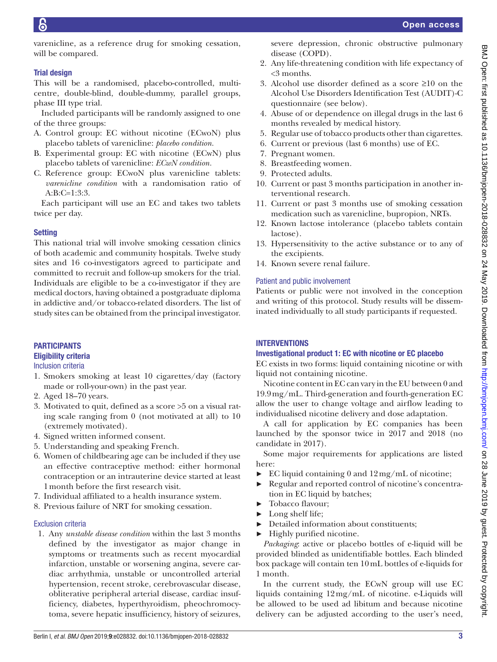varenicline, as a reference drug for smoking cessation, will be compared.

### Trial design

This will be a randomised, placebo-controlled, multicentre, double-blind, double-dummy, parallel groups, phase III type trial.

Included participants will be randomly assigned to one of the three groups:

- A. Control group: EC without nicotine (ECwoN) plus placebo tablets of varenicline: *placebo condition.*
- B. Experimental group: EC with nicotine (ECwN) plus placebo tablets of varenicline: *ECwN condition.*
- C. Reference group: ECwoN plus varenicline tablets: *varenicline condition* with a randomisation ratio of A:B:C=1:3:3.

Each participant will use an EC and takes two tablets twice per day.

### **Setting**

This national trial will involve smoking cessation clinics of both academic and community hospitals. Twelve study sites and 16 co-investigators agreed to participate and committed to recruit and follow-up smokers for the trial. Individuals are eligible to be a co-investigator if they are medical doctors, having obtained a postgraduate diploma in addictive and/or tobacco-related disorders. The list of study sites can be obtained from the principal investigator.

## **PARTICIPANTS**

## Eligibility criteria

Inclusion criteria

- 1. Smokers smoking at least 10 cigarettes/day (factory made or roll-your-own) in the past year.
- 2. Aged 18–70 years.
- 3. Motivated to quit, defined as a score >5 on a visual rating scale ranging from 0 (not motivated at all) to 10 (extremely motivated).
- 4. Signed written informed consent.
- 5. Understanding and speaking French.
- 6. Women of childbearing age can be included if they use an effective contraceptive method: either hormonal contraception or an intrauterine device started at least 1month before the first research visit.
- 7. Individual affiliated to a health insurance system.
- 8. Previous failure of NRT for smoking cessation.

### Exclusion criteria

1. Any *unstable disease condition* within the last 3 months defined by the investigator as major change in symptoms or treatments such as recent myocardial infarction, unstable or worsening angina, severe cardiac arrhythmia, unstable or uncontrolled arterial hypertension, recent stroke, cerebrovascular disease, obliterative peripheral arterial disease, cardiac insufficiency, diabetes, hyperthyroidism, pheochromocytoma, severe hepatic insufficiency, history of seizures,

severe depression, chronic obstructive pulmonary disease (COPD).

- 2. Any life-threatening condition with life expectancy of <3 months.
- 3. Alcohol use disorder defined as a score ≥10 on the Alcohol Use Disorders Identification Test (AUDIT)-C questionnaire (see below).
- 4. Abuse of or dependence on illegal drugs in the last 6 months revealed by medical history.
- 5. Regular use of tobacco products other than cigarettes.
- 6. Current or previous (last 6 months) use of EC.
- 7. Pregnant women.
- 8. Breastfeeding women.
- 9. Protected adults.
- 10. Current or past 3 months participation in another interventional research.
- 11. Current or past 3 months use of smoking cessation medication such as varenicline, bupropion, NRTs.
- 12. Known lactose intolerance (placebo tablets contain lactose).
- 13. Hypersensitivity to the active substance or to any of the excipients.
- 14. Known severe renal failure.

### Patient and public involvement

Patients or public were not involved in the conception and writing of this protocol. Study results will be disseminated individually to all study participants if requested.

### **INTERVENTIONS**

### Investigational product 1: EC with nicotine or EC placebo

EC exists in two forms: liquid containing nicotine or with liquid not containing nicotine.

Nicotine content in EC can vary in the EU between 0 and 19.9mg/mL. Third-generation and fourth-generation EC allow the user to change voltage and airflow leading to individualised nicotine delivery and dose adaptation.

A call for application by EC companies has been launched by the sponsor twice in 2017 and 2018 (no candidate in 2017).

Some major requirements for applications are listed here:

- $\blacktriangleright$  EC liquid containing 0 and  $12 \,\text{mg/mL}$  of nicotine;
- ► Regular and reported control of nicotine's concentration in EC liquid by batches;
- Tobacco flavour;
- Long shelf life;
- ► Detailed information about constituents;
- $\blacktriangleright$  Highly purified nicotine.

*Packaging*: active or placebo bottles of e-liquid will be provided blinded as unidentifiable bottles. Each blinded box package will contain ten 10mL bottles of e-liquids for 1 month.

In the current study, the ECwN group will use EC liquids containing 12mg/mL of nicotine. e-Liquids will be allowed to be used ad libitum and because nicotine delivery can be adjusted according to the user's need,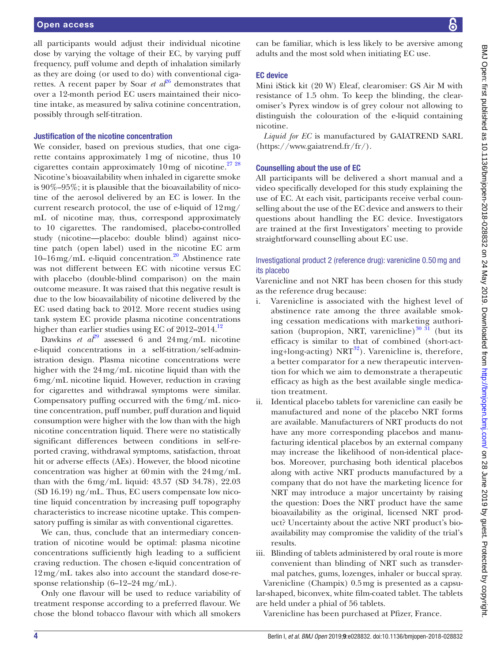all participants would adjust their individual nicotine dose by varying the voltage of their EC, by varying puff frequency, puff volume and depth of inhalation similarly as they are doing (or used to do) with conventional cigarettes. A recent paper by Soar *et*  $a^{26}$  demonstrates that over a 12-month period EC users maintained their nicotine intake, as measured by saliva cotinine concentration, possibly through self-titration.

### Justification of the nicotine concentration

We consider, based on previous studies, that one cigarette contains approximately 1mg of nicotine, thus 10 cigarettes contain approximately  $10 \,\text{mg}$  of nicotine.<sup>[27 28](#page-11-10)</sup> Nicotine's bioavailability when inhaled in cigarette smoke is 90%–95%; it is plausible that the bioavailability of nicotine of the aerosol delivered by an EC is lower. In the current research protocol, the use of e-liquid of 12mg/ mL of nicotine may, thus, correspond approximately to 10 cigarettes. The randomised, placebo-controlled study (nicotine—placebo: double blind) against nicotine patch (open label) used in the nicotine EC arm  $10-16$  mg/mL e-liquid concentration.<sup>[20](#page-11-4)</sup> Abstinence rate was not different between EC with nicotine versus EC with placebo (double-blind comparison) on the main outcome measure. It was raised that this negative result is due to the low bioavailability of nicotine delivered by the EC used dating back to 2012. More recent studies using tank system EC provide plasma nicotine concentrations higher than earlier studies using EC of  $2012-2014$  $2012-2014$  $2012-2014$ .<sup>12</sup>

Dawkins *et al*<sup>29</sup> assessed 6 and  $24 \text{ mg/mL}$  nicotine e-liquid concentrations in a self-titration/self-administration design. Plasma nicotine concentrations were higher with the 24mg/mL nicotine liquid than with the 6mg/mL nicotine liquid. However, reduction in craving for cigarettes and withdrawal symptoms were similar. Compensatory puffing occurred with the 6mg/mL nicotine concentration, puff number, puff duration and liquid consumption were higher with the low than with the high nicotine concentration liquid. There were no statistically significant differences between conditions in self-reported craving, withdrawal symptoms, satisfaction, throat hit or adverse effects (AEs). However, the blood nicotine concentration was higher at 60min with the 24mg/mL than with the 6mg/mL liquid: 43.57 (SD 34.78), 22.03 (SD 16.19) ng/mL. Thus, EC users compensate low nicotine liquid concentration by increasing puff topography characteristics to increase nicotine uptake. This compensatory puffing is similar as with conventional cigarettes.

We can, thus, conclude that an intermediary concentration of nicotine would be optimal: plasma nicotine concentrations sufficiently high leading to a sufficient craving reduction. The chosen e-liquid concentration of 12mg/mL takes also into account the standard dose-response relationship (6–12–24 mg/mL).

Only one flavour will be used to reduce variability of treatment response according to a preferred flavour. We chose the blond tobacco flavour with which all smokers

can be familiar, which is less likely to be aversive among adults and the most sold when initiating EC use.

### EC device

Mini iStick kit (20 W) Eleaf, clearomiser: GS Air M with resistance of 1.5 ohm. To keep the blinding, the clearomiser's Pyrex window is of grey colour not allowing to distinguish the colouration of the e-liquid containing nicotine.

*Liquid for EC* is manufactured by GAIATREND SARL [\(https://www.gaiatrend.fr/fr/\)](https://www.gaiatrend.fr/fr/).

### Counselling about the use of EC

All participants will be delivered a short manual and a video specifically developed for this study explaining the use of EC. At each visit, participants receive verbal counselling about the use of the EC device and answers to their questions about handling the EC device. Investigators are trained at the first Investigators' meeting to provide straightforward counselling about EC use.

### Investigational product 2 (reference drug): varenicline 0.50mg and its placebo

Varenicline and not NRT has been chosen for this study as the reference drug because:

- i. Varenicline is associated with the highest level of abstinence rate among the three available smoking cessation medications with marketing authorisation (bupropion, NRT, varenicline) $30\,31$  (but its efficacy is similar to that of combined (short-acting+long-acting) NRT $^{32}$  $^{32}$  $^{32}$ ). Varenicline is, therefore, a better comparator for a new therapeutic intervention for which we aim to demonstrate a therapeutic efficacy as high as the best available single medication treatment.
- ii. Identical placebo tablets for varenicline can easily be manufactured and none of the placebo NRT forms are available. Manufacturers of NRT products do not have any more corresponding placebos and manufacturing identical placebos by an external company may increase the likelihood of non-identical placebos. Moreover, purchasing both identical placebos along with active NRT products manufactured by a company that do not have the marketing licence for NRT may introduce a major uncertainty by raising the question: Does the NRT product have the same bioavailability as the original, licensed NRT product? Uncertainty about the active NRT product's bioavailability may compromise the validity of the trial's results.

iii. Blinding of tablets administered by oral route is more convenient than blinding of NRT such as transdermal patches, gums, lozenges, inhaler or buccal spray. Varenicline (Champix) 0.5mg is presented as a capsular-shaped, biconvex, white film-coated tablet. The tablets are held under a phial of 56 tablets.

Varenicline has been purchased at Pfizer, France.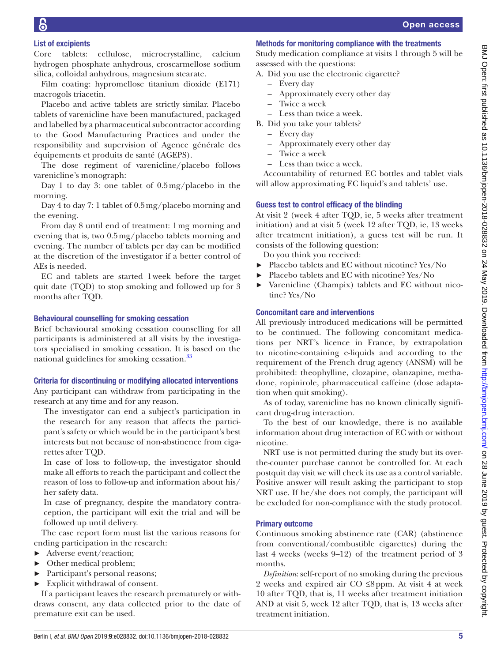## List of excipients

Core tablets: cellulose, microcrystalline, calcium hydrogen phosphate anhydrous, croscarmellose sodium silica, colloidal anhydrous, magnesium stearate.

Film coating: hypromellose titanium dioxide (E171) macrogols triacetin.

Placebo and active tablets are strictly similar. Placebo tablets of varenicline have been manufactured, packaged and labelled by a pharmaceutical subcontractor according to the Good Manufacturing Practices and under the responsibility and supervision of Agence générale des équipements et produits de santé (AGEPS).

The dose regiment of varenicline/placebo follows varenicline's monograph:

Day 1 to day 3: one tablet of 0.5mg/placebo in the morning.

Day 4 to day 7: 1 tablet of 0.5mg/placebo morning and the evening.

From day 8 until end of treatment: 1mg morning and evening that is, two 0.5mg/placebo tablets morning and evening. The number of tablets per day can be modified at the discretion of the investigator if a better control of AEs is needed.

EC and tablets are started 1week before the target quit date (TQD) to stop smoking and followed up for 3 months after TQD.

### Behavioural counselling for smoking cessation

Brief behavioural smoking cessation counselling for all participants is administered at all visits by the investigators specialised in smoking cessation. It is based on the national guidelines for smoking cessation.<sup>33</sup>

### Criteria for discontinuing or modifying allocated interventions

Any participant can withdraw from participating in the research at any time and for any reason.

The investigator can end a subject's participation in the research for any reason that affects the participant's safety or which would be in the participant's best interests but not because of non-abstinence from cigarettes after TQD.

In case of loss to follow-up, the investigator should make all efforts to reach the participant and collect the reason of loss to follow-up and information about his/ her safety data.

In case of pregnancy, despite the mandatory contraception, the participant will exit the trial and will be followed up until delivery.

The case report form must list the various reasons for ending participation in the research:

- ► Adverse event/reaction;
- ► Other medical problem;
- ► Participant's personal reasons;
- ► Explicit withdrawal of consent.

If a participant leaves the research prematurely or withdraws consent, any data collected prior to the date of premature exit can be used.

### Methods for monitoring compliance with the treatments

Study medication compliance at visits 1 through 5 will be assessed with the questions:

- A. Did you use the electronic cigarette?
	- Every day
	- Approximately every other day
	- Twice a week
	- Less than twice a week.
- B. Did you take your tablets?
	- Every day
	- Approximately every other day
	- Twice a week
	- Less than twice a week.

Accountability of returned EC bottles and tablet vials will allow approximating EC liquid's and tablets' use.

### Guess test to control efficacy of the blinding

At visit 2 (week 4 after TQD, ie, 5 weeks after treatment initiation) and at visit 5 (week 12 after TQD, ie, 13 weeks after treatment initiation), a guess test will be run. It consists of the following question:

Do you think you received:

- ► Placebo tablets and EC without nicotine? Yes/No
- Placebo tablets and EC with nicotine? Yes/No
- Varenicline (Champix) tablets and EC without nicotine? Yes/No

### Concomitant care and interventions

All previously introduced medications will be permitted to be continued. The following concomitant medications per NRT's licence in France, by extrapolation to nicotine-containing e-liquids and according to the requirement of the French drug agency (ANSM) will be prohibited: theophylline, clozapine, olanzapine, methadone, ropinirole, pharmaceutical caffeine (dose adaptation when quit smoking).

As of today, varenicline has no known clinically significant drug-drug interaction.

To the best of our knowledge, there is no available information about drug interaction of EC with or without nicotine.

NRT use is not permitted during the study but its overthe-counter purchase cannot be controlled for. At each postquit day visit we will check its use as a control variable. Positive answer will result asking the participant to stop NRT use. If he/she does not comply, the participant will be excluded for non-compliance with the study protocol.

### Primary outcome

Continuous smoking abstinence rate (CAR) (abstinence from conventional/combustible cigarettes) during the last 4 weeks (weeks 9–12) of the treatment period of 3 months.

*Definition*: self-report of no smoking during the previous 2 weeks and expired air CO ≤8ppm. At visit 4 at week 10 after TQD, that is, 11 weeks after treatment initiation AND at visit 5, week 12 after TQD, that is, 13 weeks after treatment initiation.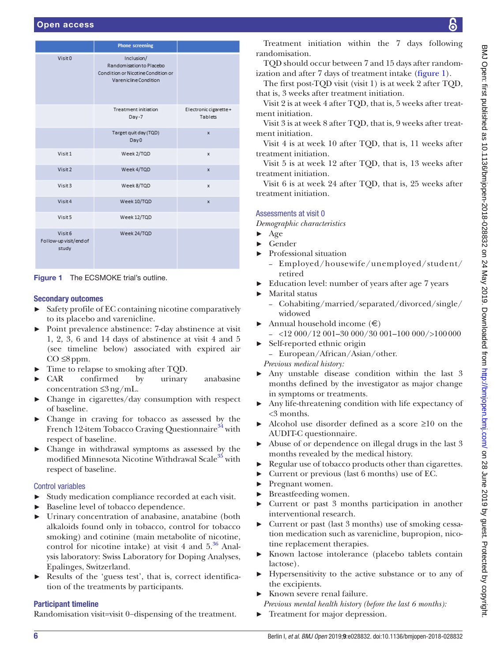|                                            | <b>Phone screening</b>                                                                                |                                  |
|--------------------------------------------|-------------------------------------------------------------------------------------------------------|----------------------------------|
| Visit <sub>0</sub>                         | Inclusion/<br>Randomisation to Placebo<br>Condition or Nicotine Condition or<br>Varenicline Condition |                                  |
|                                            | <b>Treatment initiation</b><br>$Day-7$                                                                | Electronic cigarette+<br>Tablets |
|                                            | Target quit day (TQD)<br>Day <sub>0</sub>                                                             | $\mathbf{x}$                     |
| Visit 1                                    | Week 2/TQD                                                                                            | x                                |
| Visit 2                                    | Week 4/TQD                                                                                            | $\mathbf x$                      |
| Visit <sub>3</sub>                         | Week 8/TQD                                                                                            | X                                |
| Visit 4                                    | Week 10/TQD                                                                                           | $\mathbf{x}$                     |
| Visit 5                                    | Week 12/TQD                                                                                           |                                  |
| Visit 6<br>Follow-up visit/end of<br>study | Week 24/TQD                                                                                           |                                  |

<span id="page-5-0"></span>Figure 1 The ECSMOKE trial's outline.

### Secondary outcomes

- ► Safety profile of EC containing nicotine comparatively to its placebo and varenicline.
- ► Point prevalence abstinence: 7-day abstinence at visit 1, 2, 3, 6 and 14 days of abstinence at visit 4 and 5 (see timeline below) associated with expired air  $CO \leq 8$ ppm.
- ► Time to relapse to smoking after TQD.
- ► CAR confirmed by urinary anabasine concentration ≤3ng/mL.
- ► Change in cigarettes/day consumption with respect of baseline.
- ► Change in craving for tobacco as assessed by the French 12-item Tobacco Craving Questionnaire<sup>34</sup> with respect of baseline.
- ► Change in withdrawal symptoms as assessed by the modified Minnesota Nicotine Withdrawal Scale<sup>35</sup> with respect of baseline.

### Control variables

- ► Study medication compliance recorded at each visit.
- Baseline level of tobacco dependence.
- ► Urinary concentration of anabasine, anatabine (both alkaloids found only in tobacco, control for tobacco smoking) and cotinine (main metabolite of nicotine, control for nicotine intake) at visit 4 and  $5<sup>36</sup>$  Analysis laboratory: Swiss Laboratory for Doping Analyses, Epalinges, Switzerland.
- Results of the 'guess test', that is, correct identification of the treatments by participants.

### Participant timeline

Randomisation visit=visit 0−dispensing of the treatment.

Treatment initiation within the 7 days following randomisation.

TQD should occur between 7 and 15 days after randomization and after 7 days of treatment intake ([figure](#page-5-0) 1).

The first post-TQD visit (visit 1) is at week 2 after TQD, that is, 3 weeks after treatment initiation.

Visit 2 is at week 4 after TQD, that is, 5 weeks after treatment initiation.

Visit 3 is at week 8 after TQD, that is, 9 weeks after treatment initiation.

Visit 4 is at week 10 after TQD, that is, 11 weeks after treatment initiation.

Visit 5 is at week 12 after TQD, that is, 13 weeks after treatment initiation.

Visit 6 is at week 24 after TQD, that is, 25 weeks after treatment initiation.

### Assessments at visit 0

*Demographic characteristics*

- $\blacktriangleright$  Age
- ► Gender
- ► Professional situation
	- Employed/housewife/unemployed/student/ retired
- Education level: number of years after age 7 years
- ► Marital status
	- Cohabiting/married/separated/divorced/single/ widowed
- Annual household income  $(\epsilon)$ 
	- $-$  <12 000/12 001-30 000/30 001-100 000/>100 000
- ► Self-reported ethnic origin – European/African/Asian/other. *Previous medical history:*
- ► Any unstable disease condition within the last 3 months defined by the investigator as major change in symptoms or treatments.
- Any life-threatening condition with life expectancy of <3 months.
- Alcohol use disorder defined as a score  $\geq 10$  on the AUDIT-C questionnaire.
- ► Abuse of or dependence on illegal drugs in the last 3 months revealed by the medical history.
- Regular use of tobacco products other than cigarettes.
- ► Current or previous (last 6 months) use of EC.
- ► Pregnant women.
- ► Breastfeeding women.
- ► Current or past 3 months participation in another interventional research.
- ► Current or past (last 3 months) use of smoking cessation medication such as varenicline, bupropion, nicotine replacement therapies.
- ► Known lactose intolerance (placebo tablets contain lactose).
- Hypersensitivity to the active substance or to any of the excipients.
- Known severe renal failure.
- *Previous mental health history (before the last 6 months):*
- ► Treatment for major depression.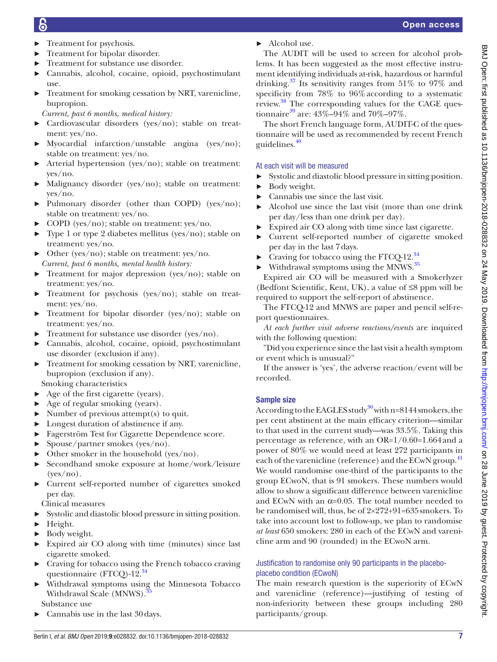- ► Treatment for psychosis.
- ► Treatment for bipolar disorder.
- Treatment for substance use disorder.
- ► Cannabis, alcohol, cocaine, opioid, psychostimulant use.
- Treatment for smoking cessation by NRT, varenicline, bupropion.

*Current, past 6 months, medical history:*

- ► Cardiovascular disorders (yes/no); stable on treatment: yes/no.
- ► Myocardial infarction/unstable angina (yes/no); stable on treatment: yes/no.
- ► Arterial hypertension (yes/no); stable on treatment: yes/no.
- ► Malignancy disorder (yes/no); stable on treatment: yes/no.
- ► Pulmonary disorder (other than COPD) (yes/no); stable on treatment: yes/no.
- ► COPD (yes/no); stable on treatment: yes/no.
- ► Type 1 or type 2 diabetes mellitus (yes/no); stable on treatment: yes/no.
- ► Other (yes/no); stable on treatment: yes/no. *Current, past 6 months, mental health history:*
- $\blacktriangleright$  Treatment for major depression (yes/no); stable on treatment: yes/no.
- ► Treatment for psychosis (yes/no); stable on treatment: yes/no.
- ► Treatment for bipolar disorder (yes/no); stable on treatment: yes/no.
- ► Treatment for substance use disorder (yes/no).
- ► Cannabis, alcohol, cocaine, opioid, psychostimulant use disorder (exclusion if any).
- Treatment for smoking cessation by NRT, varenicline, bupropion (exclusion if any).
- Smoking characteristics
- $\blacktriangleright$  Age of the first cigarette (years).
- $\blacktriangleright$  Age of regular smoking (years).
- $\blacktriangleright$  Number of previous attempt(s) to quit.
- ► Longest duration of abstinence if any.
- ► Fagerström Test for Cigarette Dependence score.
- ► Spouse/partner smokes (yes/no).
- $\triangleright$  Other smoker in the household (yes/no).
- ► Secondhand smoke exposure at home/work/leisure (yes/no).
- ► Current self-reported number of cigarettes smoked per day.

Clinical measures

- ► Systolic and diastolic blood pressure in sitting position.
- ► Height.
- ► Body weight.
- ► Expired air CO along with time (minutes) since last cigarette smoked.
- ► Craving for tobacco using the French tobacco craving questionnaire (FTCQ)-12.<sup>[34](#page-11-16)</sup>
- Withdrawal symptoms using the Minnesota Tobacco Withdrawal Scale (MNWS).<sup>3</sup> Substance use

► Cannabis use in the last 30days.

► Alcohol use.

The AUDIT will be used to screen for alcohol problems. It has been suggested as the most effective instrument identifying individuals at-risk, hazardous or harmful drinking.<sup>37</sup> Its sensitivity ranges from  $51\%$  to  $97\%$  and specificity from 78% to 96%according to a systematic review.<sup>[38](#page-11-20)</sup> The corresponding values for the CAGE questionnaire<sup>39</sup> are:  $43\% - 94\%$  and  $70\% - 97\%$ .

The short French language form, AUDIT-C of the questionnaire will be used as recommended by recent French guidelines. $40$ 

### At each visit will be measured

- Systolic and diastolic blood pressure in sitting position.
- Body weight.
- ► Cannabis use since the last visit.
- Alcohol use since the last visit (more than one drink per day/less than one drink per day).
- Expired air CO along with time since last cigarette.
- ► Current self-reported number of cigarette smoked per day in the last 7days.
- Craving for tobacco using the FTCQ-12. $34$
- $\blacktriangleright$  Withdrawal symptoms using the MNWS.<sup>35</sup>

Expired air CO will be measured with a Smokerlyzer (Bedfont Scientific, Kent, UK), a value of ≤8 ppm will be required to support the self-report of abstinence.

The FTCQ-12 and MNWS are paper and pencil self-report questionnaires.

*At each further visit adverse reactions/events* are inquired with the following question:

"Did you experience since the last visit a health symptom or event which is unusual?"

If the answer is 'yes', the adverse reaction/event will be recorded.

### Sample size

According to the EAGLES study<sup>[30](#page-11-13)</sup> with n=8144 smokers, the per cent abstinent at the main efficacy criterion—similar to that used in the current study—was 33.5%. Taking this percentage as reference, with an OR=1/0.60=1.664and a power of 80% we would need at least 272 participants in each of the varenicline (reference) and the ECwN group.<sup>[41](#page-11-23)</sup> We would randomise one-third of the participants to the group ECwoN, that is 91 smokers. These numbers would allow to show a significant difference between varenicline and ECwN with an  $\alpha$ =0.05. The total number needed to be randomised will, thus, be of 2×272+91=635smokers. To take into account lost to follow-up, we plan to randomise *at least* 650 smokers: 280 in each of the ECwN and varenicline arm and 90 (rounded) in the ECwoN arm.

### Justification to randomise only 90 participants in the placeboplacebo condition (ECwoN)

The main research question is the superiority of ECwN and varenicline (reference)—justifying of testing of non-inferiority between these groups including 280 participants/group.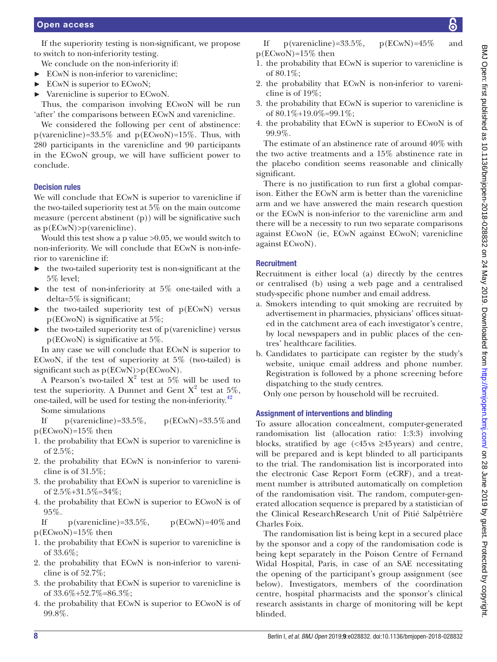If the superiority testing is non-significant, we propose to switch to non-inferiority testing.

We conclude on the non-inferiority if:

- ► ECwN is non-inferior to varenicline;
- ► ECwN is superior to ECwoN;
- ► Varenicline is superior to ECwoN.

Thus, the comparison involving ECwoN will be run 'after' the comparisons between ECwN and varenicline.

We considered the following per cent of abstinence: p(varenicline)=33.5% and p(ECwoN)=15%. Thus, with 280 participants in the varenicline and 90 participants in the ECwoN group, we will have sufficient power to conclude.

### Decision rules

We will conclude that ECwN is superior to varenicline if the two-tailed superiority test at 5% on the main outcome measure (percent abstinent (p)) will be significative such as p(ECwN)>p(varenicline).

Would this test show a p value >0.05, we would switch to non-inferiority. We will conclude that ECwN is non-inferior to varenicline if:

- ► the two-tailed superiority test is non-significant at the 5% level;
- the test of non-inferiority at  $5\%$  one-tailed with a delta=5% is significant;
- $\blacktriangleright$  the two-tailed superiority test of p(ECwN) versus p(ECwoN) is significative at 5%;
- $\blacktriangleright$  the two-tailed superiority test of p(varenicline) versus p(ECwoN) is significative at 5%.

In any case we will conclude that ECwN is superior to ECwoN, if the test of superiority at 5% (two-tailed) is significant such as  $p(ECwN) > p(ECw0N)$ .

A Pearson's two-tailed  $X^2$  test at 5% will be used to test the superiority. A Dunnet and Gent  $X^2$  test at 5%, one-tailed, will be used for testing the non-inferiority.[42](#page-11-24)

Some simulations

If p(varenicline)= $33.5\%$ , p(ECwN)= $33.5\%$  and p(ECwoN)=15% then

- 1. the probability that ECwN is superior to varenicline is of 2.5%;
- 2. the probability that ECwN is non-inferior to varenicline is of 31.5%;
- 3. the probability that ECwN is superior to varenicline is of 2.5%+31.5%=34%;
- 4. the probability that ECwN is superior to ECwoN is of 95%.

If p(varenicline)=33.5%,  $p(ECwN)=40\%$  and p(ECwoN)=15% then

- 1. the probability that ECwN is superior to varenicline is of 33.6%;
- 2. the probability that ECwN is non-inferior to varenicline is of 52.7%;
- 3. the probability that ECwN is superior to varenicline is of 33.6%+52.7%=86.3%;
- 4. the probability that ECwN is superior to ECwoN is of 99.8%.
- 1. the probability that ECwN is superior to varenicline is of 80.1%;
- 2. the probability that ECwN is non-inferior to varenicline is of 19%;
- 3. the probability that ECwN is superior to varenicline is of  $80.1\% + 19.0\% = 99.1\%$ ;
- 4. the probability that ECwN is superior to ECwoN is of 99.9%.

The estimate of an abstinence rate of around 40% with the two active treatments and a 15% abstinence rate in the placebo condition seems reasonable and clinically significant.

There is no justification to run first a global comparison. Either the ECwN arm is better than the varenicline arm and we have answered the main research question or the ECwN is non-inferior to the varenicline arm and there will be a necessity to run two separate comparisons against ECwoN (ie, ECwN against ECwoN; varenicline against ECwoN).

### **Recruitment**

Recruitment is either local (a) directly by the centres or centralised (b) using a web page and a centralised study-specific phone number and email address.

- a. Smokers intending to quit smoking are recruited by advertisement in pharmacies, physicians' offices situated in the catchment area of each investigator's centre, by local newspapers and in public places of the centres' healthcare facilities.
- b. Candidates to participate can register by the study's website, unique email address and phone number. Registration is followed by a phone screening before dispatching to the study centres.

Only one person by household will be recruited.

### Assignment of interventions and blinding

To assure allocation concealment, computer-generated randomisation list (allocation ratio: 1:3:3) involving blocks, stratified by age  $\left\langle \langle 45 \rangle \right\rangle$   $\geq 45 \rangle$  years) and centre, will be prepared and is kept blinded to all participants to the trial. The randomisation list is incorporated into the electronic Case Report Form (eCRF), and a treatment number is attributed automatically on completion of the randomisation visit. The random, computer-generated allocation sequence is prepared by a statistician of the Clinical ResearchResearch Unit of Pitié Salpêtrière Charles Foix.

The randomisation list is being kept in a secured place by the sponsor and a copy of the randomisation code is being kept separately in the Poison Centre of Fernand Widal Hospital, Paris, in case of an SAE necessitating the opening of the participant's group assignment (see below). Investigators, members of the coordination centre, hospital pharmacists and the sponsor's clinical research assistants in charge of monitoring will be kept blinded.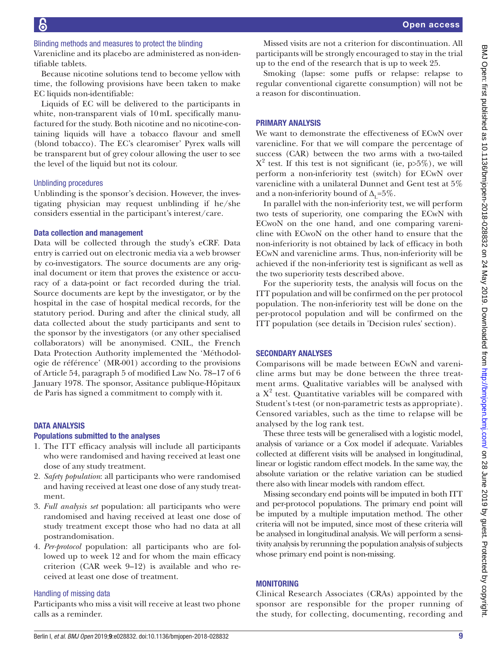Varenicline and its placebo are administered as non-identifiable tablets.

Because nicotine solutions tend to become yellow with time, the following provisions have been taken to make EC liquids non-identifiable:

Liquids of EC will be delivered to the participants in white, non-transparent vials of 10mL specifically manufactured for the study. Both nicotine and no nicotine-containing liquids will have a tobacco flavour and smell (blond tobacco). The EC's clearomiser' Pyrex walls will be transparent but of grey colour allowing the user to see the level of the liquid but not its colour.

### Unblinding procedures

Unblinding is the sponsor's decision. However, the investigating physician may request unblinding if he/she considers essential in the participant's interest/care.

### Data collection and management

Data will be collected through the study's eCRF. Data entry is carried out on electronic media via a web browser by co-investigators. The source documents are any original document or item that proves the existence or accuracy of a data-point or fact recorded during the trial. Source documents are kept by the investigator, or by the hospital in the case of hospital medical records, for the statutory period. During and after the clinical study, all data collected about the study participants and sent to the sponsor by the investigators (or any other specialised collaborators) will be anonymised. CNIL, the French Data Protection Authority implemented the 'Méthodologie de référence' (MR-001) according to the provisions of Article 54, paragraph 5 of modified Law No. 78–17 of 6 January 1978. The sponsor, Assitance publique-Hôpitaux de Paris has signed a commitment to comply with it.

### **DATA ANALYSIS**

### Populations submitted to the analyses

- 1. The ITT efficacy analysis will include all participants who were randomised and having received at least one dose of any study treatment.
- 2. *Safety population*: all participants who were randomised and having received at least one dose of any study treatment.
- 3. *Full analysis set* population: all participants who were randomised and having received at least one dose of study treatment except those who had no data at all postrandomisation.
- 4. *Per-protocol* population: all participants who are followed up to week 12 and for whom the main efficacy criterion (CAR week 9–12) is available and who received at least one dose of treatment.

### Handling of missing data

Participants who miss a visit will receive at least two phone calls as a reminder.

Missed visits are not a criterion for discontinuation. All participants will be strongly encouraged to stay in the trial up to the end of the research that is up to week 25.

Smoking (lapse: some puffs or relapse: relapse to regular conventional cigarette consumption) will not be a reason for discontinuation.

### Primary analysis

We want to demonstrate the effectiveness of ECwN over varenicline. For that we will compare the percentage of success (CAR) between the two arms with a two-tailed  $X^2$  test. If this test is not significant (ie, p>5%), we will perform a non-inferiority test (switch) for ECwN over varenicline with a unilateral Dunnet and Gent test at 5% and a non-inferiority bound of  $\Delta_{\mathbf{r}} = 5\%$ .

In parallel with the non-inferiority test, we will perform two tests of superiority, one comparing the ECwN with ECwoN on the one hand, and one comparing varenicline with ECwoN on the other hand to ensure that the non-inferiority is not obtained by lack of efficacy in both ECwN and varenicline arms. Thus, non-inferiority will be achieved if the non-inferiority test is significant as well as the two superiority tests described above.

For the superiority tests, the analysis will focus on the ITT population and will be confirmed on the per protocol population. The non-inferiority test will be done on the per-protocol population and will be confirmed on the ITT population (see details in 'Decision rules' section).

### Secondary analyses

Comparisons will be made between ECwN and varenicline arms but may be done between the three treatment arms. Qualitative variables will be analysed with a  $X^2$  test. Quantitative variables will be compared with Student's t-test (or non-parametric tests as appropriate). Censored variables, such as the time to relapse will be analysed by the log rank test.

These three tests will be generalised with a logistic model, analysis of variance or a Cox model if adequate. Variables collected at different visits will be analysed in longitudinal, linear or logistic random effect models. In the same way, the absolute variation or the relative variation can be studied there also with linear models with random effect.

Missing secondary end points will be imputed in both ITT and per-protocol populations. The primary end point will be imputed by a multiple imputation method. The other criteria will not be imputed, since most of these criteria will be analysed in longitudinal analysis. We will perform a sensitivity analysis by rerunning the population analysis of subjects whose primary end point is non-missing.

### **MONITORING**

Clinical Research Associates (CRAs) appointed by the sponsor are responsible for the proper running of the study, for collecting, documenting, recording and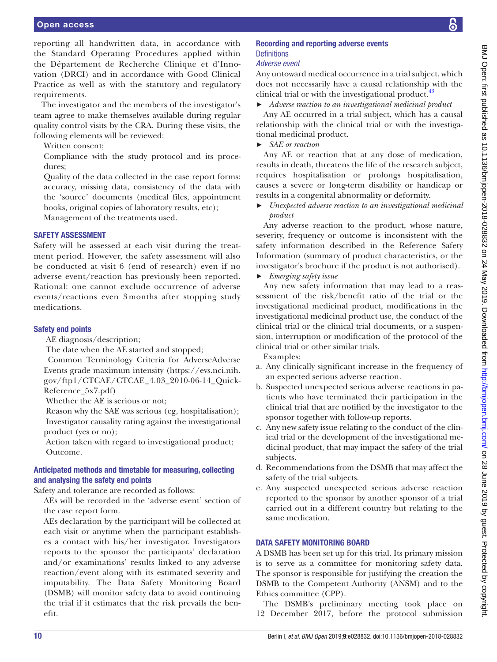reporting all handwritten data, in accordance with the Standard Operating Procedures applied within the Département de Recherche Clinique et d'Innovation (DRCI) and in accordance with Good Clinical Practice as well as with the statutory and regulatory requirements.

The investigator and the members of the investigator's team agree to make themselves available during regular quality control visits by the CRA. During these visits, the following elements will be reviewed:

Written consent;

Compliance with the study protocol and its procedures;

Quality of the data collected in the case report forms: accuracy, missing data, consistency of the data with the 'source' documents (medical files, appointment books, original copies of laboratory results, etc);

Management of the treatments used.

### Safety assessment

Safety will be assessed at each visit during the treatment period. However, the safety assessment will also be conducted at visit 6 (end of research) even if no adverse event/reaction has previously been reported. Rational: one cannot exclude occurrence of adverse events/reactions even 3 months after stopping study medications.

### Safety end points

AE diagnosis/description;

The date when the AE started and stopped;

 Common Terminology Criteria for AdverseAdverse Events grade maximum intensity ([https://evs.nci.nih.](https://evs.nci.nih.gov/ftp1/CTCAE/CTCAE_4.03_2010-06-14_QuickReference_5x7.pdf) [gov/ftp1/CTCAE/CTCAE\\_4.03\\_2010-06-14\\_Quick-](https://evs.nci.nih.gov/ftp1/CTCAE/CTCAE_4.03_2010-06-14_QuickReference_5x7.pdf)[Reference\\_5x7.pdf\)](https://evs.nci.nih.gov/ftp1/CTCAE/CTCAE_4.03_2010-06-14_QuickReference_5x7.pdf)

Whether the AE is serious or not;

 Reason why the SAE was serious (eg, hospitalisation); Investigator causality rating against the investigational product (yes or no);

 Action taken with regard to investigational product; Outcome.

### Anticipated methods and timetable for measuring, collecting and analysing the safety end points

Safety and tolerance are recorded as follows:

AEs will be recorded in the 'adverse event' section of the case report form.

AEs declaration by the participant will be collected at each visit or anytime when the participant establishes a contact with his/her investigator. Investigators reports to the sponsor the participants' declaration and/or examinations' results linked to any adverse reaction/event along with its estimated severity and imputability. The Data Safety Monitoring Board (DSMB) will monitor safety data to avoid continuing the trial if it estimates that the risk prevails the benefit.

### Recording and reporting adverse events **Definitions**

### *Adverse event*

Any untoward medical occurrence in a trial subject, which does not necessarily have a causal relationship with the clinical trial or with the investigational product.<sup>[43](#page-11-25)</sup>

► *Adverse reaction to an investigational medicinal product*

Any AE occurred in a trial subject, which has a causal relationship with the clinical trial or with the investigational medicinal product.

► *SAE or reaction*

Any AE or reaction that at any dose of medication, results in death, threatens the life of the research subject, requires hospitalisation or prolongs hospitalisation, causes a severe or long-term disability or handicap or results in a congenital abnormality or deformity.

► *Unexpected adverse reaction to an investigational medicinal product*

Any adverse reaction to the product, whose nature, severity, frequency or outcome is inconsistent with the safety information described in the Reference Safety Information (summary of product characteristics, or the investigator's brochure if the product is not authorised).

### ► *Emerging safety issue*

Any new safety information that may lead to a reassessment of the risk/benefit ratio of the trial or the investigational medicinal product, modifications in the investigational medicinal product use, the conduct of the clinical trial or the clinical trial documents, or a suspension, interruption or modification of the protocol of the clinical trial or other similar trials.

Examples:

- a. Any clinically significant increase in the frequency of an expected serious adverse reaction.
- b. Suspected unexpected serious adverse reactions in patients who have terminated their participation in the clinical trial that are notified by the investigator to the sponsor together with follow-up reports.
- c. Any new safety issue relating to the conduct of the clinical trial or the development of the investigational medicinal product, that may impact the safety of the trial subjects.
- d. Recommendations from the DSMB that may affect the safety of the trial subjects.
- e. Any suspected unexpected serious adverse reaction reported to the sponsor by another sponsor of a trial carried out in a different country but relating to the same medication.

### DATA SAFETY MONITORING BOARD

A DSMB has been set up for this trial. Its primary mission is to serve as a committee for monitoring safety data. The sponsor is responsible for justifying the creation the DSMB to the Competent Authority (ANSM) and to the Ethics committee (CPP).

The DSMB's preliminary meeting took place on 12 December 2017, before the protocol submission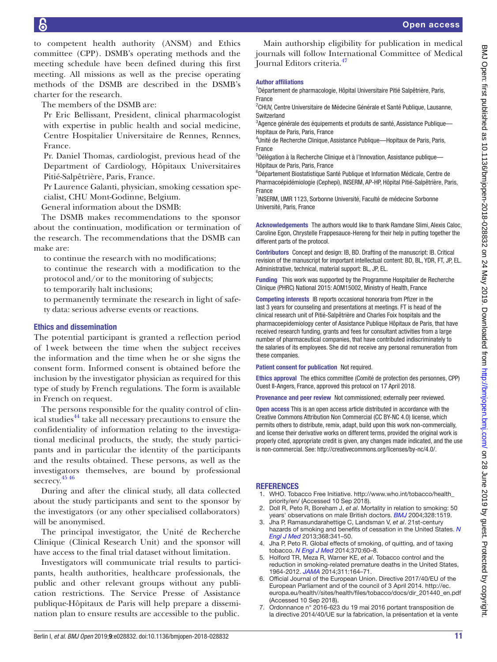to competent health authority (ANSM) and Ethics committee (CPP). DSMB's operating methods and the meeting schedule have been defined during this first meeting. All missions as well as the precise operating methods of the DSMB are described in the DSMB's charter for the research.

The members of the DSMB are:

Pr Eric Bellissant, President, clinical pharmacologist with expertise in public health and social medicine, Centre Hospitalier Universitaire de Rennes, Rennes, France.

Pr. Daniel Thomas, cardiologist, previous head of the Department of Cardiology, Hôpitaux Universitaires Pitié-Salpêtrière, Paris, France.

Pr Laurence Galanti, physician, smoking cessation specialist, CHU Mont-Godinne, Belgium.

General information about the DSMB:

The DSMB makes recommendations to the sponsor about the continuation, modification or termination of the research. The recommendations that the DSMB can make are:

to continue the research with no modifications;

to continue the research with a modification to the protocol and/or to the monitoring of subjects;

to temporarily halt inclusions;

to permanently terminate the research in light of safety data: serious adverse events or reactions.

### Ethics and dissemination

The potential participant is granted a reflection period of 1week between the time when the subject receives the information and the time when he or she signs the consent form. Informed consent is obtained before the inclusion by the investigator physician as required for this type of study by French regulations. The form is available in French on request.

The persons responsible for the quality control of clin-ical studies<sup>[44](#page-11-26)</sup> take all necessary precautions to ensure the confidentiality of information relating to the investigational medicinal products, the study, the study participants and in particular the identity of the participants and the results obtained. These persons, as well as the investigators themselves, are bound by professional secrecy. [45 46](#page-11-27)

During and after the clinical study, all data collected about the study participants and sent to the sponsor by the investigators (or any other specialised collaborators) will be anonymised.

The principal investigator, the Unité de Recherche Clinique (Clinical Research Unit) and the sponsor will have access to the final trial dataset without limitation.

Investigators will communicate trial results to participants, health authorities, healthcare professionals, the public and other relevant groups without any publication restrictions. The Service Presse of Assistance publique-Hôpitaux de Paris will help prepare a dissemination plan to ensure results are accessible to the public.

Main authorship eligibility for publication in medical journals will follow International Committee of Medical Journal Editors criteria[.47](#page-11-28)

### Author affiliations

<sup>1</sup>Département de pharmacologie, Hôpital Universitaire Pitié Salpêtrière, Paris, France

<sup>2</sup>CHUV, Centre Universitaire de Médecine Générale et Santé Publique, Lausanne, **Switzerland** 

<sup>3</sup>Agence générale des équipements et produits de santé, Assistance Publique-Hopitaux de Paris, Paris, France

<sup>4</sup>Unité de Recherche Clinique, Assistance Publique-Hopitaux de Paris, Paris, France

<sup>5</sup>Délégation à la Recherche Clinique et à l'Innovation, Assistance publique-Hôpitaux de Paris, Paris, France

6 Département Biostatistique Santé Publique et Information Médicale, Centre de Pharmacoépidémiologie (Cephepi), INSERM, AP-HP, Hôpital Pitié-Salpêtrière, Paris, France

<sup>7</sup>INSERM, UMR 1123, Sorbonne Université, Faculté de médecine Sorbonne Université, Paris, France

Acknowledgements The authors would like to thank Ramdane Slimi, Alexis Caloc, Caroline Egon, Chrystelle Frappesauce-Hereng for their help in putting together the different parts of the protocol.

Contributors Concept and design: IB, BD. Drafting of the manuscript: IB. Critical revision of the manuscript for important intellectual content: BD, BL, YDR, FT, JP, EL. Administrative, technical, material support: BL, JP, EL.

Funding This work was supported by the Programme Hospitalier de Recherche Clinique (PHRC) National 2015: AOM15002, Ministry of Health, France

Competing interests IB reports occasional honoraria from Pfizer in the last 3 years for counseling and presentations at meetings. FT is head of the clinical research unit of Pitié-Salpêtrière and Charles Foix hospitals and the pharmacoepidemiology center of Assistance Publique Hôpitaux de Paris, that have received research funding, grants and fees for consultant activities from a large number of pharmaceutical companies, that have contributed indiscriminately to the salaries of its employees. She did not receive any personal remuneration from these companies.

Patient consent for publication Not required.

Ethics approval The ethics committee (Comité de protection des personnes, CPP) Ouest II-Angers, France, approved this protocol on 17 April 2018.

Provenance and peer review Not commissioned; externally peer reviewed.

Open access This is an open access article distributed in accordance with the Creative Commons Attribution Non Commercial (CC BY-NC 4.0) license, which permits others to distribute, remix, adapt, build upon this work non-commercially, and license their derivative works on different terms, provided the original work is properly cited, appropriate credit is given, any changes made indicated, and the use is non-commercial. See: [http://creativecommons.org/licenses/by-nc/4.0/.](http://creativecommons.org/licenses/by-nc/4.0/)

### **REFERENCES**

- <span id="page-10-0"></span>1. WHO. Tobacco Free Initiative. [http://www.who.int/tobacco/health\\_](http://www.who.int/tobacco/health_priority/en/) [priority/en/](http://www.who.int/tobacco/health_priority/en/) (Accessed 10 Sep 2018).
- <span id="page-10-1"></span>2. Doll R, Peto R, Boreham J, *et al*. Mortality in relation to smoking: 50 years' observations on male British doctors. *[BMJ](http://dx.doi.org/10.1136/bmj.38142.554479.AE)* 2004;328:1519.
- <span id="page-10-3"></span>3. Jha P, Ramasundarahettige C, Landsman V, *et al*. 21st-century hazards of smoking and benefits of cessation in the United States. *[N](http://dx.doi.org/10.1056/NEJMsa1211128)  [Engl J Med](http://dx.doi.org/10.1056/NEJMsa1211128)* 2013;368:341–50.
- 4. Jha P, Peto R. Global effects of smoking, of quitting, and of taxing tobacco. *[N Engl J Med](http://dx.doi.org/10.1056/NEJMra1308383)* 2014;370:60–8.
- <span id="page-10-2"></span>5. Holford TR, Meza R, Warner KE, *et al*. Tobacco control and the reduction in smoking-related premature deaths in the United States, 1964-2012. *[JAMA](http://dx.doi.org/10.1001/jama.2013.285112)* 2014;311:164–71.
- <span id="page-10-4"></span>6. Official Journal of the European Union. Directive 2017/40/EU of the European Parliament and of the council of 3 April 2014. [http://ec.](http://ec.europa.eu/health//sites/health/files/tobacco/docs/dir_201440_en.pdf) [europa.eu/health//sites/health/files/tobacco/docs/dir\\_201440\\_en.pdf](http://ec.europa.eu/health//sites/health/files/tobacco/docs/dir_201440_en.pdf)  (Accessed 10 Sep 2018).
- <span id="page-10-5"></span>7. Ordonnance n° 2016-623 du 19 mai 2016 portant transposition de la directive 2014/40/UE sur la fabrication, la présentation et la vente